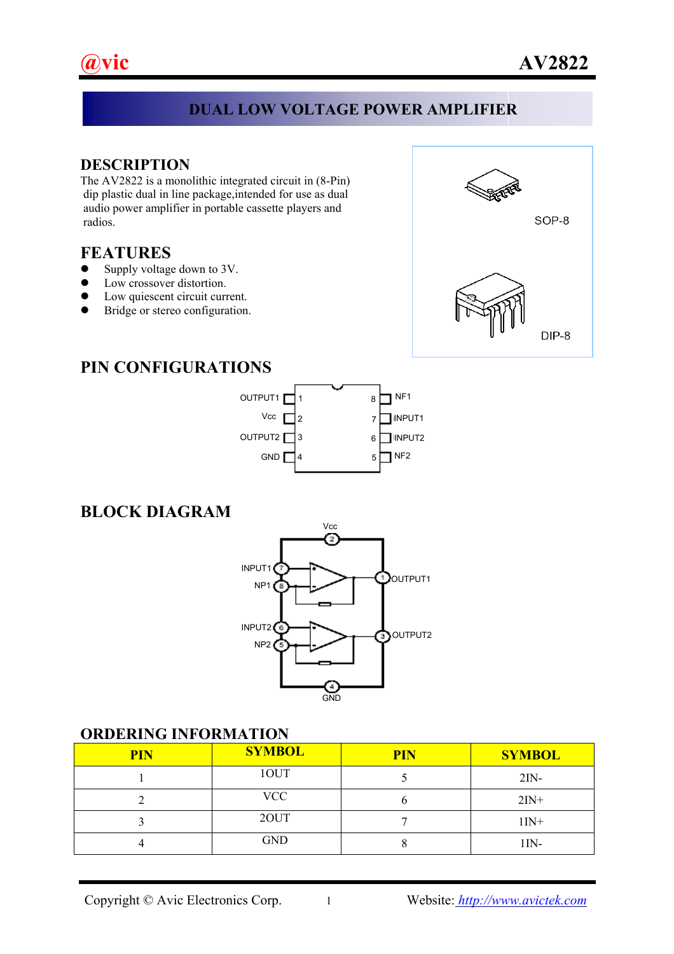#### **DUAL LOW VOLTAGE POWER AMPLIFIER**

I

**DESCRIPTION**<br>The AV2822 is a monolithic integrated circuit in (8-Pin) dip plastic dual in line package,intended for use as dual audio power amplifier in portable cassette players and radios.

#### **FEATURES**

- $\bullet$  Supply voltage down to 3V.
- Low crossover distortion.
- Low quiescent circuit current.
- $\bullet$  Bridge or stereo configuration.



## **PIN CONFIGURATIONS**



#### **BLOCK DIAGRAM**



#### **ORDERING INFORMATION**

| <b>PIN</b> | <b>SYMBOL</b> | <b>PIN</b> | <b>SYMBOL</b> |
|------------|---------------|------------|---------------|
|            | 10UT          |            | $2IN-$        |
|            | VCC           |            | $2IN+$        |
|            | 20UT          |            | $1IN+$        |
|            | <b>GND</b>    |            | 1IN-          |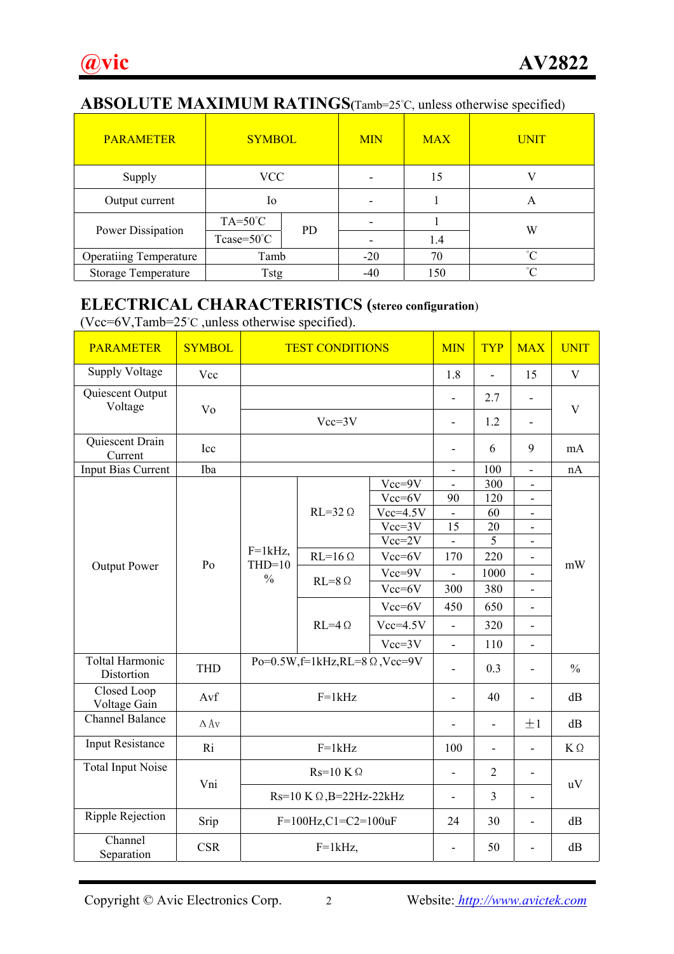## **ABSOLUTE MAXIMUM RATINGS(**Tamb=25°C, unless otherwise specified)

| <b>PARAMETER</b>              | <b>SYMBOL</b>         |           | <b>MIN</b>               | <b>MAX</b> | <b>UNIT</b> |
|-------------------------------|-----------------------|-----------|--------------------------|------------|-------------|
| Supply                        | VCC                   |           | $\overline{\phantom{0}}$ | 15         |             |
| Output current                | Io                    |           |                          |            | A           |
| Power Dissipation             | $TA=50^{\circ}C$      | <b>PD</b> |                          |            | W           |
|                               | Tcase= $50^{\circ}$ C |           |                          | 1.4        |             |
| <b>Operatiing Temperature</b> | Tamb                  |           | $-20$                    | 70         | $^{\circ}C$ |
| <b>Storage Temperature</b>    | <b>Tstg</b>           |           | -40                      | 150        | $^{\circ}C$ |

## **ELECTRICAL CHARACTERISTICS (stereo configuration**)

(Vcc=6V,Tamb= $25^{\circ}$ C, unless otherwise specified).

| <b>PARAMETER</b>                     | <b>SYMBOL</b> | <b>TEST CONDITIONS</b>                  | <b>MIN</b>      | <b>TYP</b>               | <b>MAX</b>               | <b>UNIT</b>    |                          |    |
|--------------------------------------|---------------|-----------------------------------------|-----------------|--------------------------|--------------------------|----------------|--------------------------|----|
| <b>Supply Voltage</b>                | Vcc           |                                         |                 |                          | 1.8                      | $\overline{a}$ | 15                       | V  |
| Quiescent Output<br>Voltage          | Vo            |                                         |                 |                          | $\overline{\phantom{0}}$ | 2.7            | $\overline{\phantom{0}}$ | V  |
|                                      |               | $Vcc=3V$                                |                 |                          | $\overline{\phantom{0}}$ | 1.2            | $\overline{\phantom{0}}$ |    |
| Quiescent Drain<br>Current           | Icc           |                                         |                 |                          |                          | 6              | 9                        | mA |
| <b>Input Bias Current</b>            | Iba           |                                         |                 |                          | $\overline{\phantom{0}}$ | 100            | $\overline{\phantom{0}}$ | nA |
|                                      |               |                                         |                 | $Vcc=9V$                 | $\overline{\phantom{a}}$ | 300            | $\overline{\phantom{a}}$ |    |
|                                      |               |                                         |                 | Vcc=6V                   | 90                       | 120            | $\overline{\phantom{a}}$ | mW |
|                                      | Po            |                                         | $RL=32 \Omega$  | $Vcc=4.5V$               | $\overline{\phantom{0}}$ | 60             | $\overline{\phantom{0}}$ |    |
|                                      |               |                                         |                 | $Vcc=3V$                 | 15                       | 20             | $\overline{\phantom{a}}$ |    |
|                                      |               | $F=1kHz$ ,<br>$THD=10$<br>$\frac{0}{0}$ |                 | $Vcc=2V$                 | $\overline{\phantom{0}}$ | 5              | $\overline{\phantom{a}}$ |    |
| <b>Output Power</b>                  |               |                                         | $RL=16 \Omega$  | Vcc=6V                   | 170                      | 220            | $\overline{a}$           |    |
|                                      |               |                                         | $RL=8$ $\Omega$ | $Vcc = 9V$               |                          | 1000           | $\overline{a}$           |    |
|                                      |               |                                         |                 | Vcc=6V                   | 300                      | 380            | $\overline{\phantom{0}}$ |    |
|                                      |               |                                         | $RL=4$ $\Omega$ | $Vcc=6V$                 | 450                      | 650            | $\overline{a}$           |    |
|                                      |               |                                         |                 | $Vcc=4.5V$               | $\overline{\phantom{0}}$ | 320            | $\frac{1}{2}$            |    |
|                                      |               |                                         |                 | $Vcc=3V$                 | $\overline{a}$           | 110            | $\overline{\phantom{0}}$ |    |
| <b>Toltal Harmonic</b><br>Distortion | <b>THD</b>    | Po=0.5W,f=1kHz,RL=8 $\Omega$ ,Vcc=9V    |                 | 0.3                      | $\overline{a}$           | $\frac{0}{0}$  |                          |    |
| Closed Loop<br>Voltage Gain          | Avf           | $F=1kHz$                                |                 |                          | $\overline{a}$           | 40             | $\overline{a}$           | dB |
| <b>Channel Balance</b>               | $\Delta$ Av   |                                         |                 |                          |                          | $\overline{a}$ | ±1                       | dB |
| <b>Input Resistance</b>              | Ri            |                                         | 100             | $\overline{\phantom{a}}$ | $\overline{a}$           | $K\,\Omega$    |                          |    |
| <b>Total Input Noise</b>             |               | $Rs=10 K\Omega$                         |                 |                          |                          | $\overline{2}$ | Ĭ.                       | uV |
|                                      | Vni           | $Rs=10 K\Omega$ , B=22Hz-22kHz          |                 |                          | $\overline{a}$           | $\overline{3}$ | $\overline{a}$           |    |
| Ripple Rejection                     | Srip          | $F=100 Hz, C1=C2=100 uF$                | 24              | 30                       | $\overline{a}$           | dB             |                          |    |
| Channel<br>Separation                | <b>CSR</b>    | $F=1kHz$ ,                              |                 |                          | $\overline{\phantom{0}}$ | 50             | $\overline{a}$           | dB |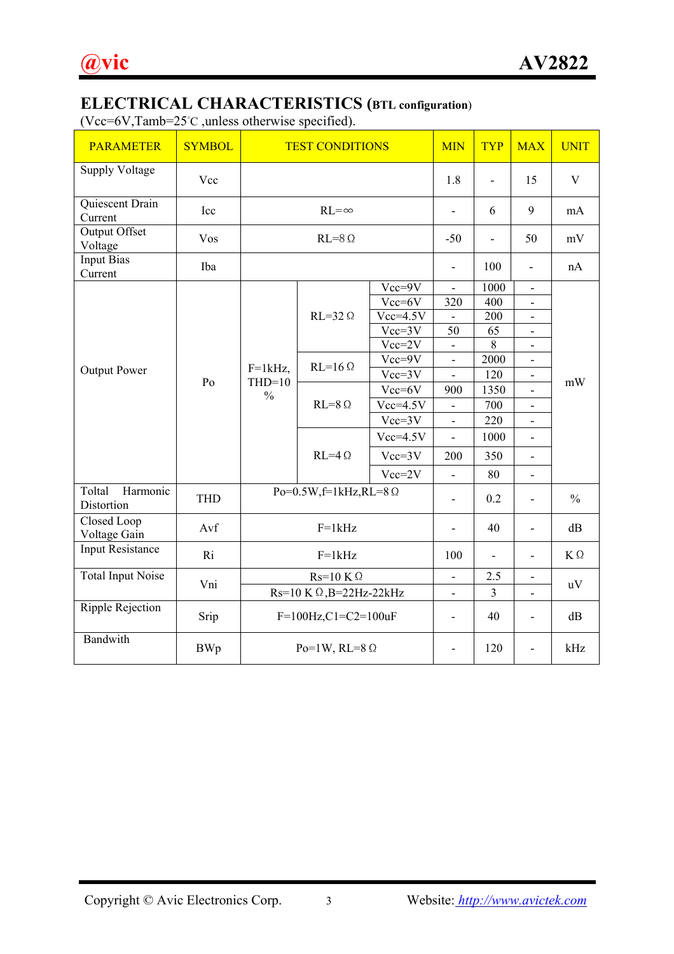# **ELECTRICAL CHARACTERISTICS (BTL configuration**)

(Vcc=6V,Tamb=25°C ,unless otherwise specified).

| <b>PARAMETER</b>                 | <b>SYMBOL</b> | <b>TEST CONDITIONS</b>                  | <b>MIN</b>               | <b>TYP</b>               | <b>MAX</b>               | <b>UNIT</b>              |                          |               |
|----------------------------------|---------------|-----------------------------------------|--------------------------|--------------------------|--------------------------|--------------------------|--------------------------|---------------|
| <b>Supply Voltage</b>            | Vcc           |                                         |                          |                          | 1.8                      | $\overline{\phantom{0}}$ | 15                       | V             |
| Quiescent Drain<br>Current       | Icc           | $RL = \infty$                           |                          |                          |                          | 6                        | 9                        | mA            |
| <b>Output Offset</b><br>Voltage  | Vos           | $RL = 8$ $\Omega$                       |                          |                          | $-50$                    | $\frac{1}{2}$            | 50                       | mV            |
| <b>Input Bias</b><br>Current     | Iba           |                                         |                          |                          | $\overline{a}$           | 100                      | $\overline{\phantom{0}}$ | nA            |
|                                  |               |                                         |                          | $Vcc = 9V$               |                          | 1000                     | $\overline{\phantom{a}}$ |               |
|                                  |               |                                         |                          | Vcc=6V                   | 320                      | 400                      | $\overline{\phantom{a}}$ |               |
|                                  |               |                                         | $RL=32 \Omega$           | $Vcc=4.5V$               |                          | 200                      | $\overline{\phantom{0}}$ |               |
| <b>Output Power</b>              | Po            | $F=1kHz$ ,<br>$THD=10$<br>$\frac{0}{0}$ |                          | $Vcc=3V$                 | 50                       | 65                       | $\overline{\phantom{a}}$ |               |
|                                  |               |                                         |                          | $Vcc=2V$                 |                          | 8                        | $\frac{1}{2}$            |               |
|                                  |               |                                         | $RL=16 \Omega$           | Vcc=9V                   |                          | 2000                     | $\overline{\phantom{0}}$ |               |
|                                  |               |                                         |                          | $Vcc=3V$                 |                          | 120                      | $\overline{\phantom{0}}$ | mW            |
|                                  |               |                                         | $RL=8$ $\Omega$          | Vcc=6V                   | 900                      | 1350                     | $\overline{a}$           |               |
|                                  |               |                                         |                          | $Vcc=4.5V$               | $\blacksquare$           | 700                      | $\overline{a}$           |               |
|                                  |               |                                         |                          | $Vcc=3V$                 | $\overline{a}$           | 220                      | $\overline{a}$           |               |
|                                  |               |                                         | $RL=4$ $\Omega$          | $Vcc=4.5V$               |                          | 1000                     | $\overline{\phantom{0}}$ |               |
|                                  |               |                                         |                          | $Vcc=3V$                 | 200                      | 350                      | $\overline{a}$           |               |
|                                  |               |                                         |                          | $Vcc=2V$                 |                          | 80                       | $\overline{\phantom{0}}$ |               |
| Toltal<br>Harmonic<br>Distortion | <b>THD</b>    | $Po=0.5W$ , $f=1kHz$ , $RL=8$ $\Omega$  |                          |                          | $\overline{\phantom{0}}$ | 0.2                      | $\overline{a}$           | $\frac{0}{0}$ |
| Closed Loop<br>Voltage Gain      | Avf           | $F=1kHz$                                |                          |                          |                          | 40                       | $\overline{a}$           | dB            |
| <b>Input Resistance</b>          | Ri            | $F=1kHz$                                |                          |                          | 100                      | $\overline{\phantom{a}}$ | $\overline{\phantom{0}}$ | $K\,\Omega$   |
| <b>Total Input Noise</b>         | Vni           | $Rs=10 K\Omega$                         |                          | $\overline{\phantom{a}}$ | 2.5                      | $\overline{\phantom{a}}$ |                          |               |
|                                  |               | $Rs=10 K \Omega$ , B=22Hz-22kHz         |                          |                          | $\overline{\phantom{0}}$ | $\overline{3}$           | $\overline{\phantom{0}}$ | uV            |
| <b>Ripple Rejection</b>          | Srip          | $F=100 Hz, C1=C2=100 uF$                |                          |                          | $\overline{\phantom{a}}$ | 40                       | $\overline{a}$           | dB            |
| Bandwith                         | <b>BWp</b>    | Po=1W, RL=8 $\Omega$                    | $\overline{\phantom{a}}$ | 120                      | $\overline{\phantom{0}}$ | kHz                      |                          |               |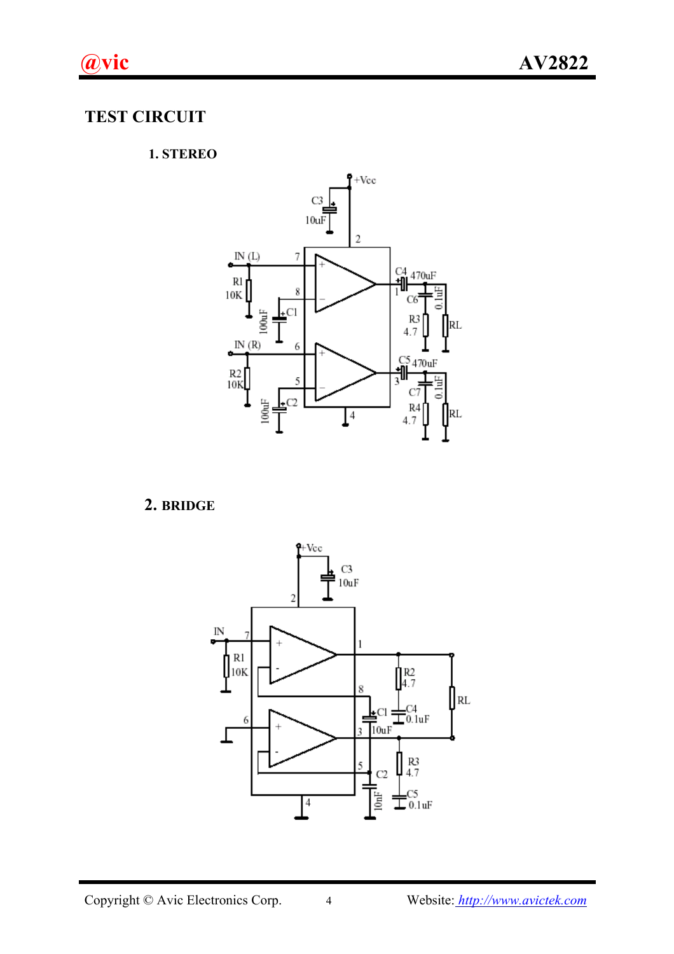# **TEST CIRCUIT**

#### **1. STEREO**



## **2. BRIDGE**